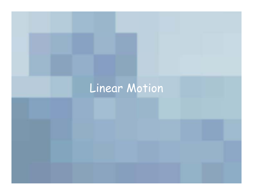## Linear Motion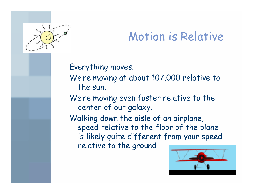

## Motion is Relative

### Everything moves.

We're moving at about 107,000 relative to the sun.

We're moving even faster relative to the center of our galaxy.

Walking down the aisle of an airplane, speed relative to the floor of the plane is likely quite different from your speed relative to the groun d

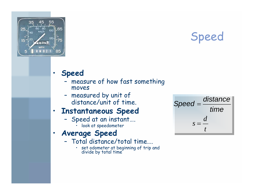

Speed

#### •**Speed**

- –measure of how fast something moves
- measured by unit of distance/unit of time.

#### •**Instantaneous Speed**

- Speed at an instant…. •look at speedometer
- • **Average Speed**
	- Total distance/total time….
		- •• set odometer at beginning of trip and divide by total time

*td* $s=$ =*timedistanceSpeed*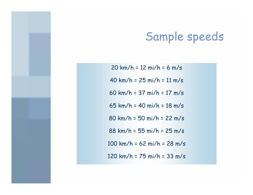## Sample speeds

20 km/ h = 12 mi/h = 6 m/s 40 km/ h = 25 mi/h = 11 m/s 60 km/ h = 37 mi/h = 17 m/s 65 km/ h = 40 mi/h = 18 m/s 80 km/ h = 50 mi/h = 22 m/s 88 km/ h = 55 mi/h = 25 m/s 100 km/h = 62 mi/h = 28 m/s 120 km/h = 75 mi/h = 33 m/s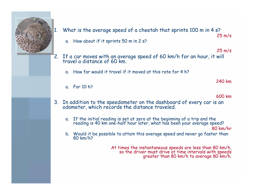

- 1. What is the average speed of a cheetah that sprints 100 m in 4 s?
	- a. How about if it sprints 50 m in 2 s?

25 m/s

25 m/s

- 2. If a car moves with an average speed of 60 km/h for an hour, it will travel a distance of 60 km.
	- a. How far would it travel if it moved at this rate for 4 h?

240 km

a. For 10 h?

600 km

- 3. In addition to the speedometer on the dashboard of every car is an odometer, which records the distance traveled.
	- a. If the initial reading is set at zero at the beginning of a trip and the reading is 40 km one-half hour later, what has been your average speed?

80 km/hr

b. Would it be possible to attain this average speed and never go faster than 80 km/h?

[At times the instantaneous speeds are less than 80 km/h, so the driver must drive at time intervals with speeds greater than 80 km/h to average 80 km/h.](http://www.cheetah.org/)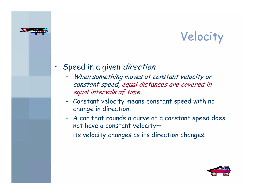

# Velocity

### •Speed in a given *direction*

- $\blacksquare$  When something moves at constant velocity or constant speed, equal distances are covered in equal intervals of time
- Constant velocity means constant speed with no change in direction.
- A car that rounds a curve at a constant speed does not have a constant velocity—
- –its velocity changes as its direction changes.

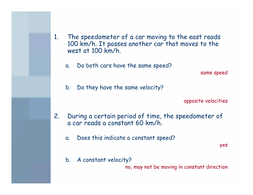- 1. The speedometer of a car moving to the east reads 100 km/h. It passes another car that moves to the west at 100 km/h.
	- a. Do both cars have the same speed?

same speed

b. Do they have the same velocity?

opposite velocities

- 2. During a certain period of time, the speedometer of a car reads a constant 60 km/h.
	- a. Does this indicate a constant speed?

yes

b. A constant velocity?

no, may not be moving in constant direction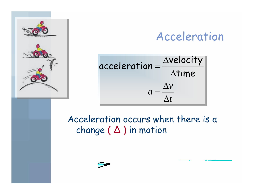

## Acceleration



Acceleration occurs when there is a change ( ∆ ) in motion

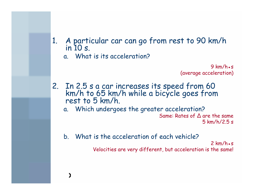- 1. A particular car can go from rest to 90 km/h in 10 s.
	- a. What is its acceleration?

 $9$  km/h.s (average acceleration)

- 2. In 2.5 s a car increases its speed from 60 km/h to 65 km/h while a bicycle goes from rest to 5 km/h.
	- a. Which undergoes the greater acceleration? Same: Rates of ∆ are the same 5 km/h/2.5 s
	- b. What is the acceleration of each vehicle?

 $2$  km/h $\cdot$ s Velocities are very different, but acceleration is the same!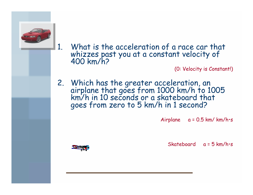

1. What is the acceleration of a race car that whizzes past you at a constant velocity of 400 km/h?

(0: Velocity is Constant!)

2. Which has the greater acceleration, an airplane that goes from 1000 km/h to 1005 km/h in 10 seconds or a skateboard that goes from zero to 5 km/h in 1 second?

Airplane  $a = 0.5$  km/km/h·s

Skateboard a = 5 km/h•s

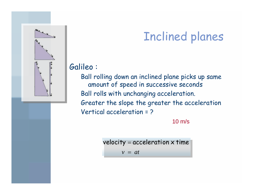

### Galileo :

Ball rolling down an inclined plane picks up sam e amount of speed in successive seconds Ball rolls with unchanging acceleration. Greater the slope the greater the acceleration Vertical acceleration = ?

### 10 m/s

*v*  = *at*velocity  $=$  acceleration  $\times$  time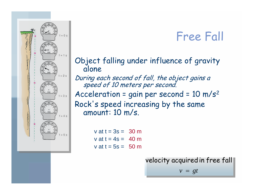## Free Fall



### Object falling under influence of gravity alone During each second of fall, the object gains a speed of 10 meters per second. Acceleration = gain per secon d = 10 m/s 2 Rock's speed increasing by the same amount: 10 m/s.

v at  $t = 3s = 30$  m v at t = 4s = 40 mv at t = 5s = 50 m

> *v*  <sup>=</sup> *gt* velocity acquired in free fall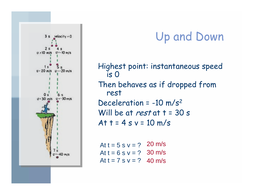

# Up and Down

Highest point: instantaneous speed is 0 Then behaves a s if dropped from rest Deceleration = -10 m/s 2 Will be at rest at  $t = 30 s$ At  $t = 4$  s  $v = 10$  m/s

At t = 5 s v = ? 20 m/s At t =  $6 s v = ?$  30 m/s At t = 7 s v = ? 40 m/s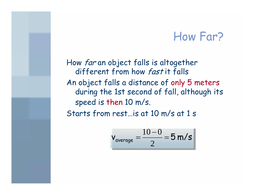### How Far?

How far an object falls is altogether different from how fast it falls An object falls a distance of only 5 meters during the 1st second of fall, although its speed is then 10 m/s. Starts from rest…is at 10 m/s at 1 s

$$
v_{\text{average}} = \frac{10-0}{2} = 5 \text{ m/s}
$$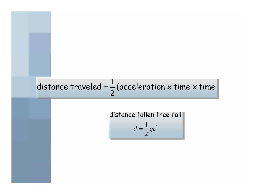# distance traveled =  $\frac{1}{2}$  (acceleration x time x time

distance fallen free fall  

$$
d = \frac{1}{2}gt^2
$$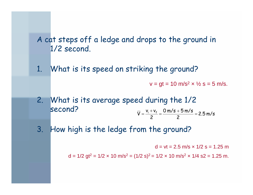### A cat steps off a ledge and drops to the ground in 1/2 secon d.

1. What is its speed on striking the ground?

 $\mathsf{v} = \mathsf{gt} = \mathsf{10} \ \mathsf{m/s^2} \mathsf{\times} \ \mathsf{\%} \ \mathsf{s} = \mathsf{5} \ \mathsf{m/s}.$ 

- 2. What is its average speed during the 1/2 second? 2.5 m/s 20 m/s 5 m/s 2 $\overline{V} = \frac{V_i + V_f}{I} = \frac{U m / S + 5 m / S}{I} =$ + =
- 3. How high is the ledge from the ground?

d = vt = 2.5 m/s × 1/2 s = 1.25 m

d = 1/2 gt $^2$  = 1/2  $\times$  10 m/s $^2$  = (1/2 s) $^2$  = 1/2  $\times$  10 m/s $^2$   $\times$  1/4 s2 = 1.25 m.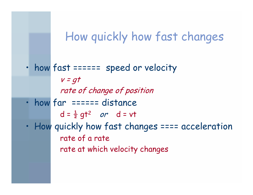### How quickly how fast changes

• how fast ====== speed or velocity  $v = qt$ rate of change of position  $\bullet$ how far ====== distance d =  $\frac{1}{2}$  gt<sup>2</sup> or d = vt  $\bullet$  How quickly how fast changes ==== acceleration rate of a rate rate at which velocity changes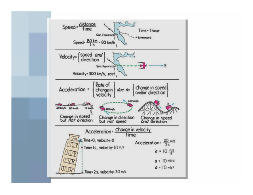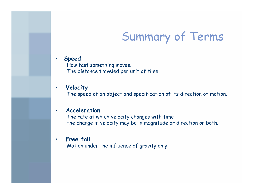## Summary of Terms

 $\bullet$ **Speed**

How fast something moves. The distance traveled p er unit of time.

#### •**Velocity**

The speed of an object and specification of its direction of motion.

#### •**Acceleration**

The rate at which velocity changes with tim e the change in velocity may be in magnitude or direction or both.

#### $\bullet$ **Free fall**

Motio n under the influence o f gravity only.